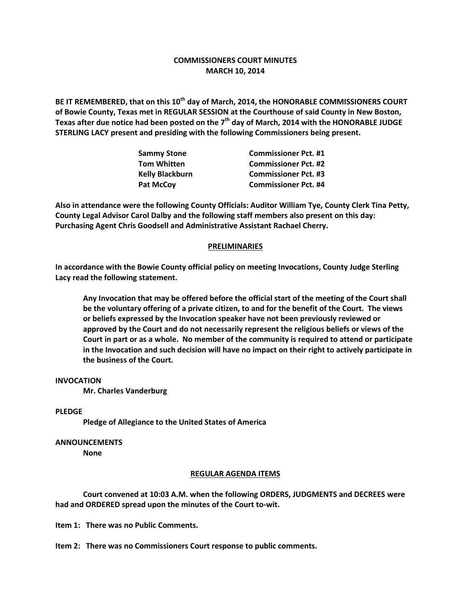# **COMMISSIONERS COURT MINUTES MARCH 10, 2014**

**BE IT REMEMBERED, that on this 10th day of March, 2014, the HONORABLE COMMISSIONERS COURT of Bowie County, Texas met in REGULAR SESSION at the Courthouse of said County in New Boston, Texas after due notice had been posted on the 7th day of March, 2014 with the HONORABLE JUDGE STERLING LACY present and presiding with the following Commissioners being present.**

| <b>Sammy Stone</b>     | <b>Commissioner Pct. #1</b> |
|------------------------|-----------------------------|
| <b>Tom Whitten</b>     | <b>Commissioner Pct. #2</b> |
| <b>Kelly Blackburn</b> | <b>Commissioner Pct. #3</b> |
| <b>Pat McCov</b>       | <b>Commissioner Pct. #4</b> |

**Also in attendance were the following County Officials: Auditor William Tye, County Clerk Tina Petty, County Legal Advisor Carol Dalby and the following staff members also present on this day: Purchasing Agent Chris Goodsell and Administrative Assistant Rachael Cherry.**

### **PRELIMINARIES**

**In accordance with the Bowie County official policy on meeting Invocations, County Judge Sterling Lacy read the following statement.**

**Any Invocation that may be offered before the official start of the meeting of the Court shall be the voluntary offering of a private citizen, to and for the benefit of the Court. The views or beliefs expressed by the Invocation speaker have not been previously reviewed or approved by the Court and do not necessarily represent the religious beliefs or views of the Court in part or as a whole. No member of the community is required to attend or participate in the Invocation and such decision will have no impact on their right to actively participate in the business of the Court.**

## **INVOCATION**

**Mr. Charles Vanderburg**

### **PLEDGE**

**Pledge of Allegiance to the United States of America**

### **ANNOUNCEMENTS**

**None**

#### **REGULAR AGENDA ITEMS**

**Court convened at 10:03 A.M. when the following ORDERS, JUDGMENTS and DECREES were had and ORDERED spread upon the minutes of the Court to-wit.**

**Item 1: There was no Public Comments.**

**Item 2: There was no Commissioners Court response to public comments.**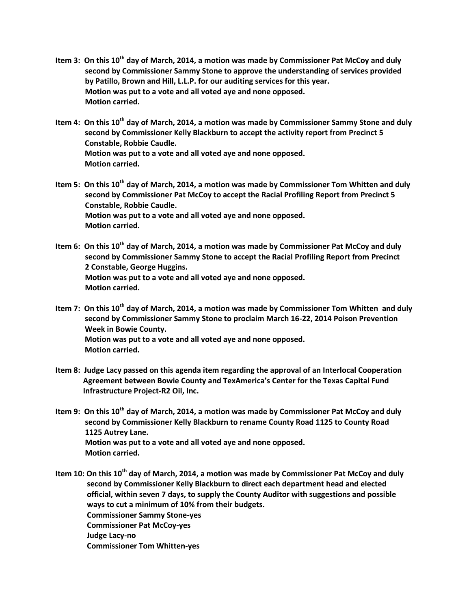- **Item 3: On this 10th day of March, 2014, a motion was made by Commissioner Pat McCoy and duly second by Commissioner Sammy Stone to approve the understanding of services provided by Patillo, Brown and Hill, L.L.P. for our auditing services for this year. Motion was put to a vote and all voted aye and none opposed. Motion carried.**
- **Item 4: On this 10th day of March, 2014, a motion was made by Commissioner Sammy Stone and duly second by Commissioner Kelly Blackburn to accept the activity report from Precinct 5 Constable, Robbie Caudle. Motion was put to a vote and all voted aye and none opposed. Motion carried.**
- **Item 5: On this 10th day of March, 2014, a motion was made by Commissioner Tom Whitten and duly second by Commissioner Pat McCoy to accept the Racial Profiling Report from Precinct 5 Constable, Robbie Caudle. Motion was put to a vote and all voted aye and none opposed. Motion carried.**
- **Item 6: On this 10th day of March, 2014, a motion was made by Commissioner Pat McCoy and duly second by Commissioner Sammy Stone to accept the Racial Profiling Report from Precinct 2 Constable, George Huggins. Motion was put to a vote and all voted aye and none opposed. Motion carried.**
- **Item 7: On this 10th day of March, 2014, a motion was made by Commissioner Tom Whitten and duly second by Commissioner Sammy Stone to proclaim March 16-22, 2014 Poison Prevention Week in Bowie County. Motion was put to a vote and all voted aye and none opposed. Motion carried.**
- **Item 8: Judge Lacy passed on this agenda item regarding the approval of an Interlocal Cooperation Agreement between Bowie County and TexAmerica's Center for the Texas Capital Fund Infrastructure Project-R2 Oil, Inc.**
- **Item 9: On this 10th day of March, 2014, a motion was made by Commissioner Pat McCoy and duly second by Commissioner Kelly Blackburn to rename County Road 1125 to County Road 1125 Autrey Lane. Motion was put to a vote and all voted aye and none opposed. Motion carried.**
- **Item 10: On this 10th day of March, 2014, a motion was made by Commissioner Pat McCoy and duly second by Commissioner Kelly Blackburn to direct each department head and elected official, within seven 7 days, to supply the County Auditor with suggestions and possible ways to cut a minimum of 10% from their budgets. Commissioner Sammy Stone-yes Commissioner Pat McCoy-yes Judge Lacy-no Commissioner Tom Whitten-yes**